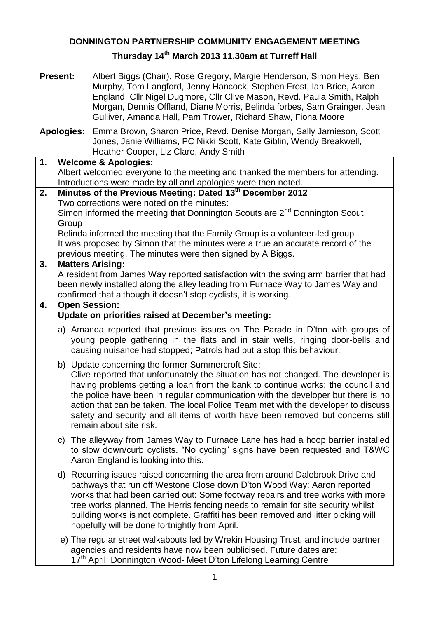## **DONNINGTON PARTNERSHIP COMMUNITY ENGAGEMENT MEETING**

## **Thursday 14 th** *<sup>P</sup>* **March 2013 11.30am at Turreff Hall**

| <b>Present:</b>   |                                                                                                                                                                                                                                                                      | Albert Biggs (Chair), Rose Gregory, Margie Henderson, Simon Heys, Ben<br>Murphy, Tom Langford, Jenny Hancock, Stephen Frost, Ian Brice, Aaron<br>England, Cllr Nigel Dugmore, Cllr Clive Mason, Revd. Paula Smith, Ralph<br>Morgan, Dennis Offland, Diane Morris, Belinda forbes, Sam Grainger, Jean<br>Gulliver, Amanda Hall, Pam Trower, Richard Shaw, Fiona Moore                                                                                                                                             |  |  |  |
|-------------------|----------------------------------------------------------------------------------------------------------------------------------------------------------------------------------------------------------------------------------------------------------------------|------------------------------------------------------------------------------------------------------------------------------------------------------------------------------------------------------------------------------------------------------------------------------------------------------------------------------------------------------------------------------------------------------------------------------------------------------------------------------------------------------------------|--|--|--|
| <b>Apologies:</b> |                                                                                                                                                                                                                                                                      | Emma Brown, Sharon Price, Revd. Denise Morgan, Sally Jamieson, Scott<br>Jones, Janie Williams, PC Nikki Scott, Kate Giblin, Wendy Breakwell,<br>Heather Cooper, Liz Clare, Andy Smith                                                                                                                                                                                                                                                                                                                            |  |  |  |
| 1.                |                                                                                                                                                                                                                                                                      | <b>Welcome &amp; Apologies:</b><br>Albert welcomed everyone to the meeting and thanked the members for attending.<br>Introductions were made by all and apologies were then noted.                                                                                                                                                                                                                                                                                                                               |  |  |  |
| 2.                |                                                                                                                                                                                                                                                                      | Minutes of the Previous Meeting: Dated 13 <sup>th</sup> December 2012                                                                                                                                                                                                                                                                                                                                                                                                                                            |  |  |  |
|                   |                                                                                                                                                                                                                                                                      | Two corrections were noted on the minutes:                                                                                                                                                                                                                                                                                                                                                                                                                                                                       |  |  |  |
|                   |                                                                                                                                                                                                                                                                      | Simon informed the meeting that Donnington Scouts are 2 <sup>nd</sup> Donnington Scout                                                                                                                                                                                                                                                                                                                                                                                                                           |  |  |  |
|                   | Group<br>Belinda informed the meeting that the Family Group is a volunteer-led group<br>It was proposed by Simon that the minutes were a true an accurate record of the<br>previous meeting. The minutes were then signed by A Biggs.                                |                                                                                                                                                                                                                                                                                                                                                                                                                                                                                                                  |  |  |  |
| 3.                | <b>Matters Arising:</b><br>A resident from James Way reported satisfaction with the swing arm barrier that had<br>been newly installed along the alley leading from Furnace Way to James Way and<br>confirmed that although it doesn't stop cyclists, it is working. |                                                                                                                                                                                                                                                                                                                                                                                                                                                                                                                  |  |  |  |
| 4.                |                                                                                                                                                                                                                                                                      | <b>Open Session:</b><br>Update on priorities raised at December's meeting:                                                                                                                                                                                                                                                                                                                                                                                                                                       |  |  |  |
|                   |                                                                                                                                                                                                                                                                      | a) Amanda reported that previous issues on The Parade in D'ton with groups of<br>young people gathering in the flats and in stair wells, ringing door-bells and<br>causing nuisance had stopped; Patrols had put a stop this behaviour.                                                                                                                                                                                                                                                                          |  |  |  |
|                   |                                                                                                                                                                                                                                                                      | b) Update concerning the former Summercroft Site:<br>Clive reported that unfortunately the situation has not changed. The developer is<br>having problems getting a loan from the bank to continue works; the council and<br>the police have been in regular communication with the developer but there is no<br>action that can be taken. The local Police Team met with the developer to discuss<br>safety and security and all items of worth have been removed but concerns still<br>remain about site risk. |  |  |  |
|                   |                                                                                                                                                                                                                                                                      | c) The alleyway from James Way to Furnace Lane has had a hoop barrier installed<br>to slow down/curb cyclists. "No cycling" signs have been requested and T&WC<br>Aaron England is looking into this.                                                                                                                                                                                                                                                                                                            |  |  |  |
|                   |                                                                                                                                                                                                                                                                      | d) Recurring issues raised concerning the area from around Dalebrook Drive and<br>pathways that run off Westone Close down D'ton Wood Way: Aaron reported<br>works that had been carried out: Some footway repairs and tree works with more<br>tree works planned. The Herris fencing needs to remain for site security whilst<br>building works is not complete. Graffiti has been removed and litter picking will<br>hopefully will be done fortnightly from April.                                            |  |  |  |
|                   |                                                                                                                                                                                                                                                                      | e) The regular street walkabouts led by Wrekin Housing Trust, and include partner<br>agencies and residents have now been publicised. Future dates are:<br>17 <sup>th</sup> April: Donnington Wood- Meet D'ton Lifelong Learning Centre                                                                                                                                                                                                                                                                          |  |  |  |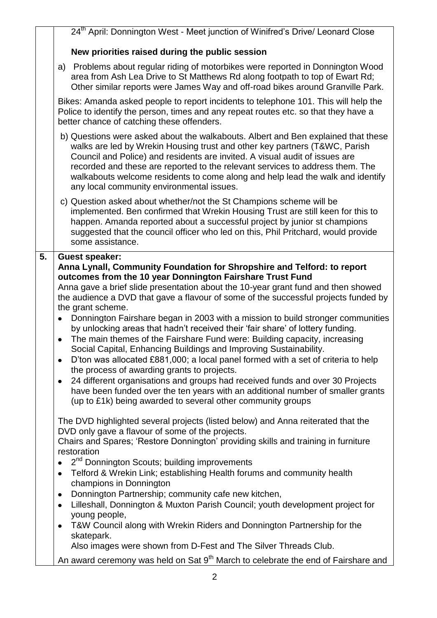|    | 24 <sup>th</sup> April: Donnington West - Meet junction of Winifred's Drive/ Leonard Close                                                                                                                                                                                                                                                                                                                                                                                                                                                                                                                                                                                                                                                                                                                                                                                                                                                                                                                                                                                                                                                                                                                                                                                                                                                                                                                                                                                                                                                                                                                                                                                                                                                                                                                                                                                                                                                                                                       |  |  |  |  |
|----|--------------------------------------------------------------------------------------------------------------------------------------------------------------------------------------------------------------------------------------------------------------------------------------------------------------------------------------------------------------------------------------------------------------------------------------------------------------------------------------------------------------------------------------------------------------------------------------------------------------------------------------------------------------------------------------------------------------------------------------------------------------------------------------------------------------------------------------------------------------------------------------------------------------------------------------------------------------------------------------------------------------------------------------------------------------------------------------------------------------------------------------------------------------------------------------------------------------------------------------------------------------------------------------------------------------------------------------------------------------------------------------------------------------------------------------------------------------------------------------------------------------------------------------------------------------------------------------------------------------------------------------------------------------------------------------------------------------------------------------------------------------------------------------------------------------------------------------------------------------------------------------------------------------------------------------------------------------------------------------------------|--|--|--|--|
|    | New priorities raised during the public session                                                                                                                                                                                                                                                                                                                                                                                                                                                                                                                                                                                                                                                                                                                                                                                                                                                                                                                                                                                                                                                                                                                                                                                                                                                                                                                                                                                                                                                                                                                                                                                                                                                                                                                                                                                                                                                                                                                                                  |  |  |  |  |
|    | a) Problems about regular riding of motorbikes were reported in Donnington Wood<br>area from Ash Lea Drive to St Matthews Rd along footpath to top of Ewart Rd;<br>Other similar reports were James Way and off-road bikes around Granville Park.                                                                                                                                                                                                                                                                                                                                                                                                                                                                                                                                                                                                                                                                                                                                                                                                                                                                                                                                                                                                                                                                                                                                                                                                                                                                                                                                                                                                                                                                                                                                                                                                                                                                                                                                                |  |  |  |  |
|    | Bikes: Amanda asked people to report incidents to telephone 101. This will help the<br>Police to identify the person, times and any repeat routes etc. so that they have a<br>better chance of catching these offenders.                                                                                                                                                                                                                                                                                                                                                                                                                                                                                                                                                                                                                                                                                                                                                                                                                                                                                                                                                                                                                                                                                                                                                                                                                                                                                                                                                                                                                                                                                                                                                                                                                                                                                                                                                                         |  |  |  |  |
|    | b) Questions were asked about the walkabouts. Albert and Ben explained that these<br>walks are led by Wrekin Housing trust and other key partners (T&WC, Parish<br>Council and Police) and residents are invited. A visual audit of issues are<br>recorded and these are reported to the relevant services to address them. The<br>walkabouts welcome residents to come along and help lead the walk and identify<br>any local community environmental issues.                                                                                                                                                                                                                                                                                                                                                                                                                                                                                                                                                                                                                                                                                                                                                                                                                                                                                                                                                                                                                                                                                                                                                                                                                                                                                                                                                                                                                                                                                                                                   |  |  |  |  |
|    | c) Question asked about whether/not the St Champions scheme will be<br>implemented. Ben confirmed that Wrekin Housing Trust are still keen for this to<br>happen. Amanda reported about a successful project by junior st champions<br>suggested that the council officer who led on this, Phil Pritchard, would provide<br>some assistance.                                                                                                                                                                                                                                                                                                                                                                                                                                                                                                                                                                                                                                                                                                                                                                                                                                                                                                                                                                                                                                                                                                                                                                                                                                                                                                                                                                                                                                                                                                                                                                                                                                                     |  |  |  |  |
| 5. | <b>Guest speaker:</b><br>Anna Lynall, Community Foundation for Shropshire and Telford: to report<br>outcomes from the 10 year Donnington Fairshare Trust Fund<br>Anna gave a brief slide presentation about the 10-year grant fund and then showed<br>the audience a DVD that gave a flavour of some of the successful projects funded by<br>the grant scheme.<br>Donnington Fairshare began in 2003 with a mission to build stronger communities<br>$\bullet$<br>by unlocking areas that hadn't received their 'fair share' of lottery funding.<br>The main themes of the Fairshare Fund were: Building capacity, increasing<br>$\bullet$<br>Social Capital, Enhancing Buildings and Improving Sustainability.<br>D'ton was allocated £881,000; a local panel formed with a set of criteria to help<br>$\bullet$<br>the process of awarding grants to projects.<br>24 different organisations and groups had received funds and over 30 Projects<br>٠<br>have been funded over the ten years with an additional number of smaller grants<br>(up to £1k) being awarded to several other community groups<br>The DVD highlighted several projects (listed below) and Anna reiterated that the<br>DVD only gave a flavour of some of the projects.<br>Chairs and Spares; 'Restore Donnington' providing skills and training in furniture<br>restoration<br>2 <sup>nd</sup> Donnington Scouts; building improvements<br>Telford & Wrekin Link; establishing Health forums and community health<br>$\bullet$<br>champions in Donnington<br>Donnington Partnership; community cafe new kitchen,<br>$\bullet$<br>Lilleshall, Donnington & Muxton Parish Council; youth development project for<br>$\bullet$<br>young people,<br>T&W Council along with Wrekin Riders and Donnington Partnership for the<br>$\bullet$<br>skatepark.<br>Also images were shown from D-Fest and The Silver Threads Club.<br>An award ceremony was held on Sat 9 <sup>th</sup> March to celebrate the end of Fairshare and |  |  |  |  |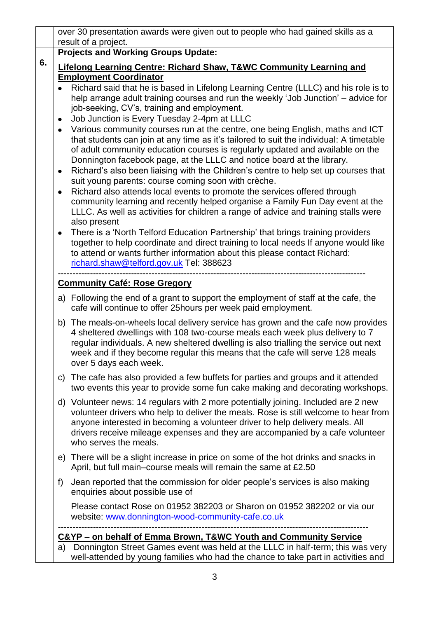|                                                                                                                                                       | over 30 presentation awards were given out to people who had gained skills as a<br>result of a project.                                                                                                                                                                                                                                                                                                                     |  |  |  |
|-------------------------------------------------------------------------------------------------------------------------------------------------------|-----------------------------------------------------------------------------------------------------------------------------------------------------------------------------------------------------------------------------------------------------------------------------------------------------------------------------------------------------------------------------------------------------------------------------|--|--|--|
|                                                                                                                                                       | <b>Projects and Working Groups Update:</b>                                                                                                                                                                                                                                                                                                                                                                                  |  |  |  |
| 6.                                                                                                                                                    | <b>Lifelong Learning Centre: Richard Shaw, T&amp;WC Community Learning and</b>                                                                                                                                                                                                                                                                                                                                              |  |  |  |
| $\bullet$                                                                                                                                             | <b>Employment Coordinator</b><br>Richard said that he is based in Lifelong Learning Centre (LLLC) and his role is to<br>help arrange adult training courses and run the weekly 'Job Junction' – advice for<br>job-seeking, CV's, training and employment.<br>Job Junction is Every Tuesday 2-4pm at LLLC                                                                                                                    |  |  |  |
| $\bullet$                                                                                                                                             | Various community courses run at the centre, one being English, maths and ICT<br>that students can join at any time as it's tailored to suit the individual: A timetable<br>of adult community education courses is regularly updated and available on the<br>Donnington facebook page, at the LLLC and notice board at the library.<br>Richard's also been liaising with the Children's centre to help set up courses that |  |  |  |
| $\bullet$                                                                                                                                             | suit young parents: course coming soon with crèche.<br>Richard also attends local events to promote the services offered through<br>community learning and recently helped organise a Family Fun Day event at the<br>LLLC. As well as activities for children a range of advice and training stalls were<br>also present                                                                                                    |  |  |  |
| $\bullet$                                                                                                                                             | There is a 'North Telford Education Partnership' that brings training providers<br>together to help coordinate and direct training to local needs If anyone would like<br>to attend or wants further information about this please contact Richard:<br>richard.shaw@telford.gov.uk Tel: 388623                                                                                                                              |  |  |  |
|                                                                                                                                                       | <b>Community Café: Rose Gregory</b>                                                                                                                                                                                                                                                                                                                                                                                         |  |  |  |
| a) Following the end of a grant to support the employment of staff at the cafe, the<br>cafe will continue to offer 25 hours per week paid employment. |                                                                                                                                                                                                                                                                                                                                                                                                                             |  |  |  |
|                                                                                                                                                       | b) The meals-on-wheels local delivery service has grown and the cafe now provides<br>4 sheltered dwellings with 108 two-course meals each week plus delivery to 7<br>regular individuals. A new sheltered dwelling is also trialling the service out next<br>week and if they become regular this means that the cafe will serve 128 meals<br>over 5 days each week.                                                        |  |  |  |
|                                                                                                                                                       | c) The cafe has also provided a few buffets for parties and groups and it attended<br>two events this year to provide some fun cake making and decorating workshops.                                                                                                                                                                                                                                                        |  |  |  |
|                                                                                                                                                       | d) Volunteer news: 14 regulars with 2 more potentially joining. Included are 2 new<br>volunteer drivers who help to deliver the meals. Rose is still welcome to hear from<br>anyone interested in becoming a volunteer driver to help delivery meals. All<br>drivers receive mileage expenses and they are accompanied by a cafe volunteer<br>who serves the meals.                                                         |  |  |  |
|                                                                                                                                                       | e) There will be a slight increase in price on some of the hot drinks and snacks in<br>April, but full main-course meals will remain the same at £2.50                                                                                                                                                                                                                                                                      |  |  |  |
| f)                                                                                                                                                    | Jean reported that the commission for older people's services is also making<br>enquiries about possible use of                                                                                                                                                                                                                                                                                                             |  |  |  |
|                                                                                                                                                       | Please contact Rose on 01952 382203 or Sharon on 01952 382202 or via our<br>website: www.donnington-wood-community-cafe.co.uk                                                                                                                                                                                                                                                                                               |  |  |  |
| a)                                                                                                                                                    | C&YP - on behalf of Emma Brown, T&WC Youth and Community Service<br>Donnington Street Games event was held at the LLLC in half-term; this was very<br>well-attended by young families who had the chance to take part in activities and                                                                                                                                                                                     |  |  |  |

 $\overline{\phantom{a}}$ 

 $\mathbf{r}$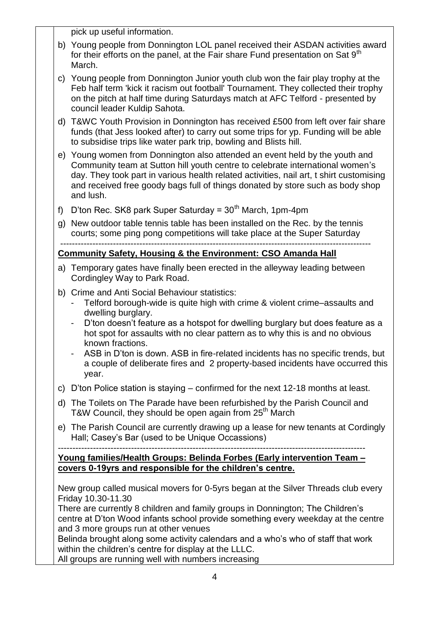|                                                                                                                                                                                                              | pick up useful information.                                                                                                                                                                                                                                                                                                                                                                                                                                                                                            |  |  |  |  |
|--------------------------------------------------------------------------------------------------------------------------------------------------------------------------------------------------------------|------------------------------------------------------------------------------------------------------------------------------------------------------------------------------------------------------------------------------------------------------------------------------------------------------------------------------------------------------------------------------------------------------------------------------------------------------------------------------------------------------------------------|--|--|--|--|
|                                                                                                                                                                                                              | b) Young people from Donnington LOL panel received their ASDAN activities award<br>for their efforts on the panel, at the Fair share Fund presentation on Sat 9 <sup>th</sup><br>March.                                                                                                                                                                                                                                                                                                                                |  |  |  |  |
|                                                                                                                                                                                                              | c) Young people from Donnington Junior youth club won the fair play trophy at the<br>Feb half term 'kick it racism out football' Tournament. They collected their trophy<br>on the pitch at half time during Saturdays match at AFC Telford - presented by<br>council leader Kuldip Sahota.                                                                                                                                                                                                                            |  |  |  |  |
|                                                                                                                                                                                                              | d) T&WC Youth Provision in Donnington has received £500 from left over fair share<br>funds (that Jess looked after) to carry out some trips for yp. Funding will be able<br>to subsidise trips like water park trip, bowling and Blists hill.                                                                                                                                                                                                                                                                          |  |  |  |  |
|                                                                                                                                                                                                              | e) Young women from Donnington also attended an event held by the youth and<br>Community team at Sutton hill youth centre to celebrate international women's<br>day. They took part in various health related activities, nail art, t shirt customising<br>and received free goody bags full of things donated by store such as body shop<br>and lush.                                                                                                                                                                 |  |  |  |  |
|                                                                                                                                                                                                              | f) D'ton Rec. SK8 park Super Saturday = $30th$ March, 1pm-4pm                                                                                                                                                                                                                                                                                                                                                                                                                                                          |  |  |  |  |
| g)                                                                                                                                                                                                           | New outdoor table tennis table has been installed on the Rec. by the tennis<br>courts; some ping pong competitions will take place at the Super Saturday                                                                                                                                                                                                                                                                                                                                                               |  |  |  |  |
|                                                                                                                                                                                                              | <b>Community Safety, Housing &amp; the Environment: CSO Amanda Hall</b>                                                                                                                                                                                                                                                                                                                                                                                                                                                |  |  |  |  |
| a)                                                                                                                                                                                                           | Temporary gates have finally been erected in the alleyway leading between<br>Cordingley Way to Park Road.                                                                                                                                                                                                                                                                                                                                                                                                              |  |  |  |  |
|                                                                                                                                                                                                              | b) Crime and Anti Social Behaviour statistics:<br>Telford borough-wide is quite high with crime & violent crime-assaults and<br>dwelling burglary.<br>D'ton doesn't feature as a hotspot for dwelling burglary but does feature as a<br>hot spot for assaults with no clear pattern as to why this is and no obvious<br>known fractions.<br>ASB in D'ton is down. ASB in fire-related incidents has no specific trends, but<br>a couple of deliberate fires and 2 property-based incidents have occurred this<br>year. |  |  |  |  |
|                                                                                                                                                                                                              | c) D'ton Police station is staying – confirmed for the next 12-18 months at least.                                                                                                                                                                                                                                                                                                                                                                                                                                     |  |  |  |  |
|                                                                                                                                                                                                              | d) The Toilets on The Parade have been refurbished by the Parish Council and<br>T&W Council, they should be open again from 25 <sup>th</sup> March                                                                                                                                                                                                                                                                                                                                                                     |  |  |  |  |
|                                                                                                                                                                                                              | e) The Parish Council are currently drawing up a lease for new tenants at Cordingly<br>Hall; Casey's Bar (used to be Unique Occassions)                                                                                                                                                                                                                                                                                                                                                                                |  |  |  |  |
|                                                                                                                                                                                                              | <u>Young families/Health Groups: Belinda Forbes (Early intervention Team -</u>                                                                                                                                                                                                                                                                                                                                                                                                                                         |  |  |  |  |
|                                                                                                                                                                                                              | covers 0-19yrs and responsible for the children's centre.                                                                                                                                                                                                                                                                                                                                                                                                                                                              |  |  |  |  |
| New group called musical movers for 0-5yrs began at the Silver Threads club every<br>Friday 10.30-11.30                                                                                                      |                                                                                                                                                                                                                                                                                                                                                                                                                                                                                                                        |  |  |  |  |
| There are currently 8 children and family groups in Donnington; The Children's<br>centre at D'ton Wood infants school provide something every weekday at the centre<br>and 3 more groups run at other venues |                                                                                                                                                                                                                                                                                                                                                                                                                                                                                                                        |  |  |  |  |
|                                                                                                                                                                                                              | Belinda brought along some activity calendars and a who's who of staff that work<br>within the children's centre for display at the LLLC.                                                                                                                                                                                                                                                                                                                                                                              |  |  |  |  |

All groups are running well with numbers increasing